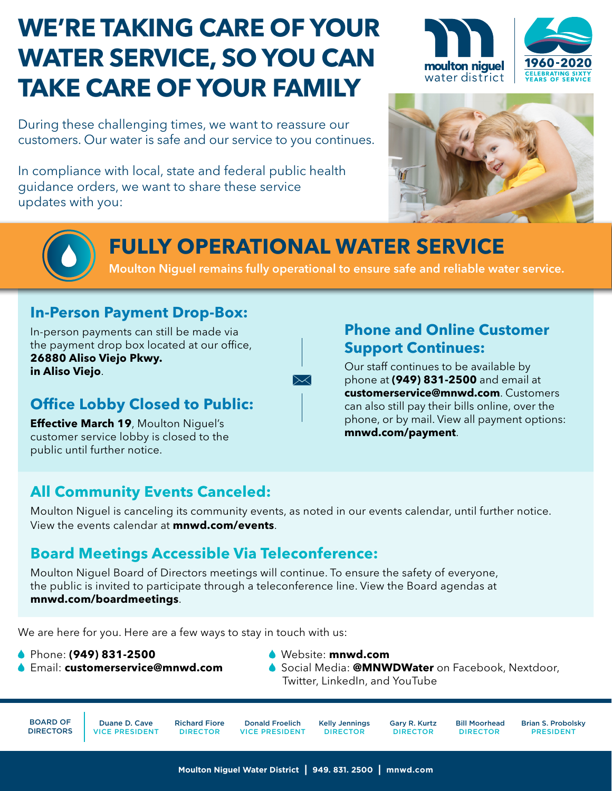# **WE'RE TAKING CARE OF YOUR WATER SERVICE, SO YOU CAN TAKE CARE OF YOUR FAMILY**

During these challenging times, we want to reassure our customers. Our water is safe and our service to you continues.

In compliance with local, state and federal public health guidance orders, we want to share these service updates with you:







# **FULLY OPERATIONAL WATER SERVICE**

 $\boxtimes$ 

Moulton Niguel remains fully operational to ensure safe and reliable water service.

### **In-Person Payment Drop-Box:**

In-person payments can still be made via the payment drop box located at our office, **26880 Aliso Viejo Pkwy. in Aliso Viejo**.

# **Office Lobby Closed to Public:**

**Effective March 19**, Moulton Niguel's customer service lobby is closed to the public until further notice.

## **Phone and Online Customer Support Continues:**

Our staff continues to be available by phone at **(949) 831-2500** and email at **[customerservice@mnwd.com](mailto:customerservice%40mnwd.com?subject=)**. Customers can also still pay their bills online, over the phone, or by mail. View all payment options: **[mnwd.com/payment](https://www.mnwd.com/payment/)**.

# **All Community Events Canceled:**

Moulton Niguel is canceling its community events, as noted in our events calendar, until further notice. View the events calendar at **[mnwd.com/events](https://www.mnwd.com/events/)**.

## **Board Meetings Accessible Via Teleconference:**

Moulton Niguel Board of Directors meetings will continue. To ensure the safety of everyone, the public is invited to participate through a teleconference line. View the Board agendas at **[mnwd.com/boardmeetings](https://www.mnwd.com/boardmeetings/)**.

We are here for you. Here are a few ways to stay in touch with us:

Phone: **(949) 831-2500**

- Website: **[mnwd.com](https://www.mnwd.com/)**
- Email: **[customerservice@mnwd.com](mailto:customerservice%40mnwd.com?subject=)**
- Social Media: **@MNWDWater** on [Facebook,](https://www.facebook.com/MNWDWater/) [Nextdoor](https://nextdoor.com/pages/moulton-niguel-water-district-laguna-niguel-ca/),
	- [Twitter](https://twitter.com/mnwdwater), [LinkedIn](https://www.linkedin.com/company/mnwdwater/), and [YouTube](https://www.youtube.com/channel/UCsMMfELe23X82h783yziosg/videos)

BOARD OF DIRECTORS

Duane D. Cave VICE PRESIDENT

Richard Fiore DIRECTOR

Donald Froelich VICE PRESIDENT Kelly Jennings DIRECTOR

Gary R. Kurtz DIRECTOR

Brian S. Probolsky PRESIDENT Bill Moorhead DIRECTOR